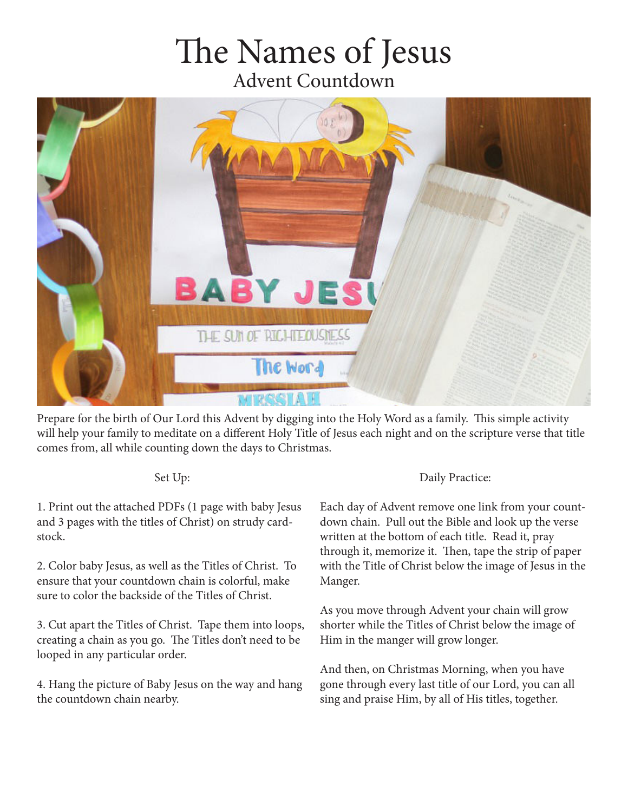## he Names of Jesus Advent Countdown



Prepare for the birth of Our Lord this Advent by digging into the Holy Word as a family. This simple activity will help your family to meditate on a diferent Holy Title of Jesus each night and on the scripture verse that title comes from, all while counting down the days to Christmas.

## Set Up:

1. Print out the attached PDFs (1 page with baby Jesus and 3 pages with the titles of Christ) on strudy cardstock.

2. Color baby Jesus, as well as the Titles of Christ. To ensure that your countdown chain is colorful, make sure to color the backside of the Titles of Christ.

3. Cut apart the Titles of Christ. Tape them into loops, creating a chain as you go. The Titles don't need to be looped in any particular order.

4. Hang the picture of Baby Jesus on the way and hang the countdown chain nearby.

## Daily Practice:

Each day of Advent remove one link from your countdown chain. Pull out the Bible and look up the verse written at the bottom of each title. Read it, pray through it, memorize it. Then, tape the strip of paper with the Title of Christ below the image of Jesus in the Manger.

As you move through Advent your chain will grow shorter while the Titles of Christ below the image of Him in the manger will grow longer.

And then, on Christmas Morning, when you have gone through every last title of our Lord, you can all sing and praise Him, by all of His titles, together.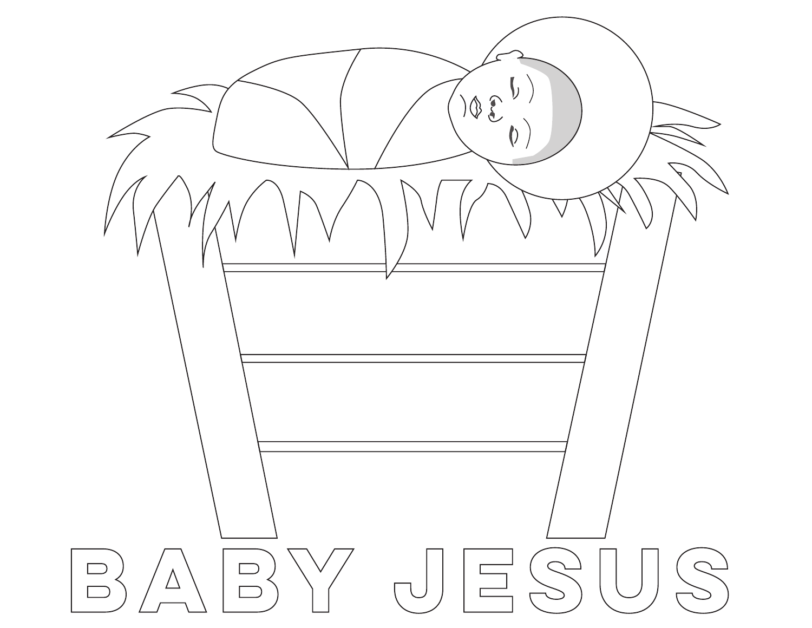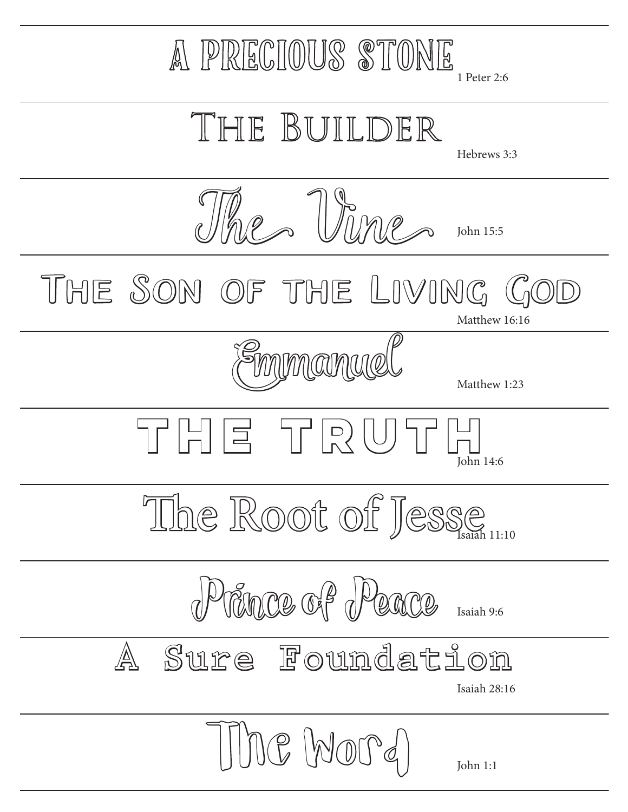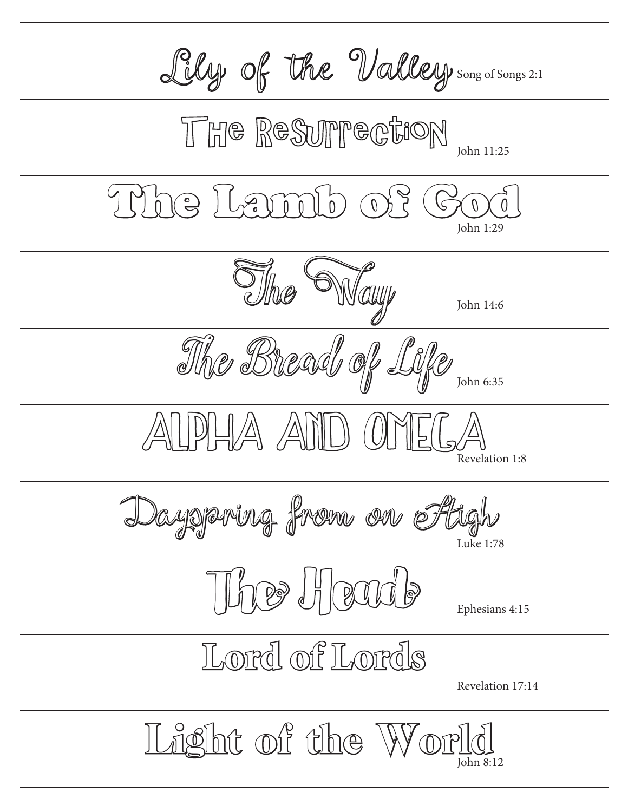Lily of the Valley song of Songs 2:1 The ReSurrection John 11:25 Mhe Lamb of John 1:29 The Way John 14:6 The Bread of Life John 6:35  $\ket{\ket{\mathbb{A}} \mathbb{A}}$ ild Revelation 1:8 Dayspring from on High Luke 1:78 The Head Ephesians 4:15 **Lord of Lords** Revelation 17:14 Light of the Worl John 8:12